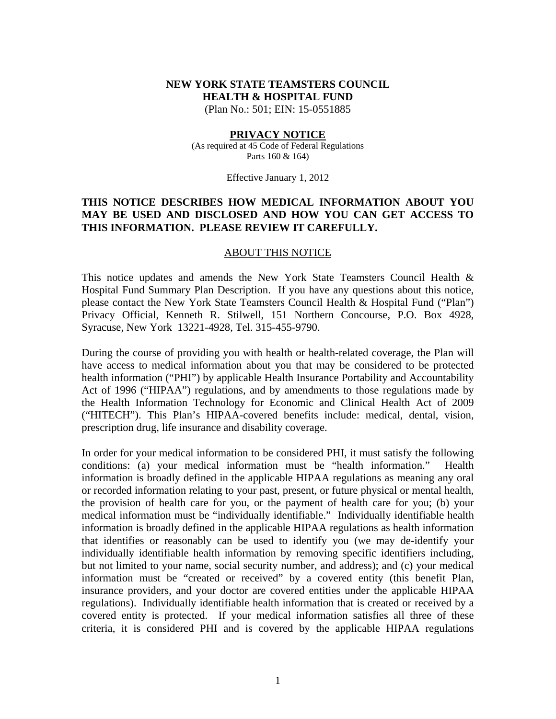# **NEW YORK STATE TEAMSTERS COUNCIL HEALTH & HOSPITAL FUND**

(Plan No.: 501; EIN: 15-0551885

#### **PRIVACY NOTICE**

(As required at 45 Code of Federal Regulations Parts 160 & 164)

Effective January 1, 2012

#### **THIS NOTICE DESCRIBES HOW MEDICAL INFORMATION ABOUT YOU MAY BE USED AND DISCLOSED AND HOW YOU CAN GET ACCESS TO THIS INFORMATION. PLEASE REVIEW IT CAREFULLY.**

#### ABOUT THIS NOTICE

This notice updates and amends the New York State Teamsters Council Health & Hospital Fund Summary Plan Description. If you have any questions about this notice, please contact the New York State Teamsters Council Health & Hospital Fund ("Plan") Privacy Official, Kenneth R. Stilwell, 151 Northern Concourse, P.O. Box 4928, Syracuse, New York 13221-4928, Tel. 315-455-9790.

During the course of providing you with health or health-related coverage, the Plan will have access to medical information about you that may be considered to be protected health information ("PHI") by applicable Health Insurance Portability and Accountability Act of 1996 ("HIPAA") regulations, and by amendments to those regulations made by the Health Information Technology for Economic and Clinical Health Act of 2009 ("HITECH"). This Plan's HIPAA-covered benefits include: medical, dental, vision, prescription drug, life insurance and disability coverage.

In order for your medical information to be considered PHI, it must satisfy the following conditions: (a) your medical information must be "health information." Health information is broadly defined in the applicable HIPAA regulations as meaning any oral or recorded information relating to your past, present, or future physical or mental health, the provision of health care for you, or the payment of health care for you; (b) your medical information must be "individually identifiable." Individually identifiable health information is broadly defined in the applicable HIPAA regulations as health information that identifies or reasonably can be used to identify you (we may de-identify your individually identifiable health information by removing specific identifiers including, but not limited to your name, social security number, and address); and (c) your medical information must be "created or received" by a covered entity (this benefit Plan, insurance providers, and your doctor are covered entities under the applicable HIPAA regulations). Individually identifiable health information that is created or received by a covered entity is protected. If your medical information satisfies all three of these criteria, it is considered PHI and is covered by the applicable HIPAA regulations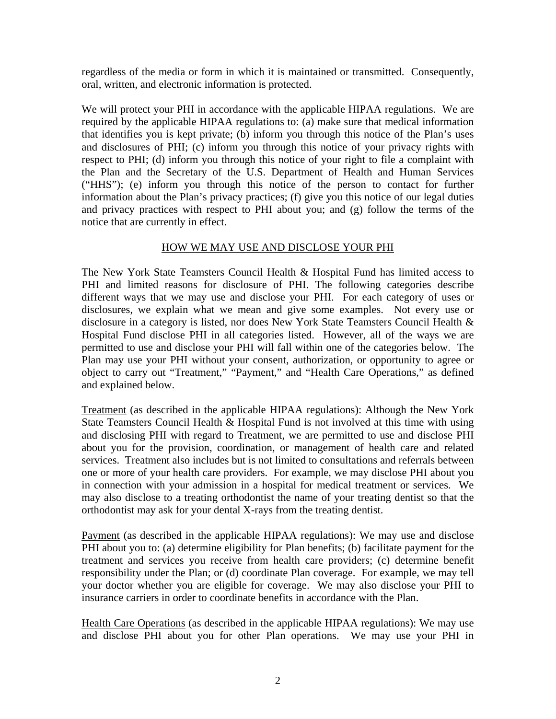regardless of the media or form in which it is maintained or transmitted. Consequently, oral, written, and electronic information is protected.

We will protect your PHI in accordance with the applicable HIPAA regulations. We are required by the applicable HIPAA regulations to: (a) make sure that medical information that identifies you is kept private; (b) inform you through this notice of the Plan's uses and disclosures of PHI; (c) inform you through this notice of your privacy rights with respect to PHI; (d) inform you through this notice of your right to file a complaint with the Plan and the Secretary of the U.S. Department of Health and Human Services ("HHS"); (e) inform you through this notice of the person to contact for further information about the Plan's privacy practices; (f) give you this notice of our legal duties and privacy practices with respect to PHI about you; and (g) follow the terms of the notice that are currently in effect.

#### HOW WE MAY USE AND DISCLOSE YOUR PHI

The New York State Teamsters Council Health & Hospital Fund has limited access to PHI and limited reasons for disclosure of PHI. The following categories describe different ways that we may use and disclose your PHI. For each category of uses or disclosures, we explain what we mean and give some examples. Not every use or disclosure in a category is listed, nor does New York State Teamsters Council Health & Hospital Fund disclose PHI in all categories listed. However, all of the ways we are permitted to use and disclose your PHI will fall within one of the categories below. The Plan may use your PHI without your consent, authorization, or opportunity to agree or object to carry out "Treatment," "Payment," and "Health Care Operations," as defined and explained below.

Treatment (as described in the applicable HIPAA regulations): Although the New York State Teamsters Council Health & Hospital Fund is not involved at this time with using and disclosing PHI with regard to Treatment, we are permitted to use and disclose PHI about you for the provision, coordination, or management of health care and related services. Treatment also includes but is not limited to consultations and referrals between one or more of your health care providers. For example, we may disclose PHI about you in connection with your admission in a hospital for medical treatment or services. We may also disclose to a treating orthodontist the name of your treating dentist so that the orthodontist may ask for your dental X-rays from the treating dentist.

Payment (as described in the applicable HIPAA regulations): We may use and disclose PHI about you to: (a) determine eligibility for Plan benefits; (b) facilitate payment for the treatment and services you receive from health care providers; (c) determine benefit responsibility under the Plan; or (d) coordinate Plan coverage. For example, we may tell your doctor whether you are eligible for coverage. We may also disclose your PHI to insurance carriers in order to coordinate benefits in accordance with the Plan.

Health Care Operations (as described in the applicable HIPAA regulations): We may use and disclose PHI about you for other Plan operations. We may use your PHI in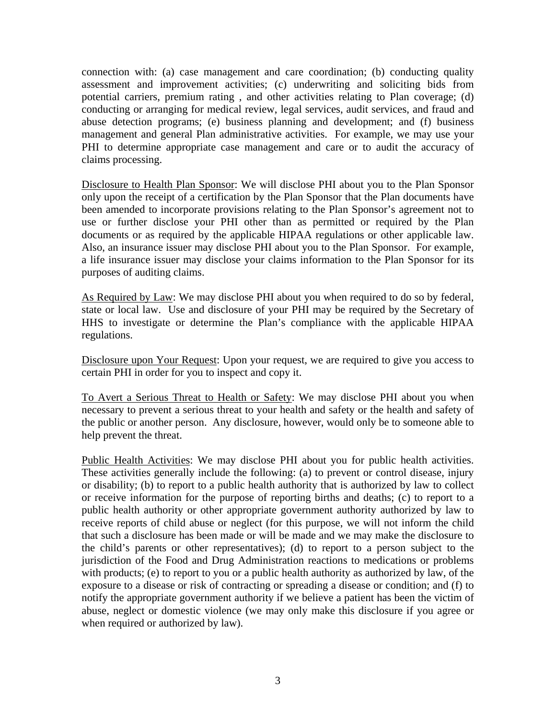connection with: (a) case management and care coordination; (b) conducting quality assessment and improvement activities; (c) underwriting and soliciting bids from potential carriers, premium rating , and other activities relating to Plan coverage; (d) conducting or arranging for medical review, legal services, audit services, and fraud and abuse detection programs; (e) business planning and development; and (f) business management and general Plan administrative activities. For example, we may use your PHI to determine appropriate case management and care or to audit the accuracy of claims processing.

Disclosure to Health Plan Sponsor: We will disclose PHI about you to the Plan Sponsor only upon the receipt of a certification by the Plan Sponsor that the Plan documents have been amended to incorporate provisions relating to the Plan Sponsor's agreement not to use or further disclose your PHI other than as permitted or required by the Plan documents or as required by the applicable HIPAA regulations or other applicable law. Also, an insurance issuer may disclose PHI about you to the Plan Sponsor. For example, a life insurance issuer may disclose your claims information to the Plan Sponsor for its purposes of auditing claims.

As Required by Law: We may disclose PHI about you when required to do so by federal, state or local law. Use and disclosure of your PHI may be required by the Secretary of HHS to investigate or determine the Plan's compliance with the applicable HIPAA regulations.

Disclosure upon Your Request: Upon your request, we are required to give you access to certain PHI in order for you to inspect and copy it.

To Avert a Serious Threat to Health or Safety: We may disclose PHI about you when necessary to prevent a serious threat to your health and safety or the health and safety of the public or another person. Any disclosure, however, would only be to someone able to help prevent the threat.

Public Health Activities: We may disclose PHI about you for public health activities. These activities generally include the following: (a) to prevent or control disease, injury or disability; (b) to report to a public health authority that is authorized by law to collect or receive information for the purpose of reporting births and deaths; (c) to report to a public health authority or other appropriate government authority authorized by law to receive reports of child abuse or neglect (for this purpose, we will not inform the child that such a disclosure has been made or will be made and we may make the disclosure to the child's parents or other representatives); (d) to report to a person subject to the jurisdiction of the Food and Drug Administration reactions to medications or problems with products; (e) to report to you or a public health authority as authorized by law, of the exposure to a disease or risk of contracting or spreading a disease or condition; and (f) to notify the appropriate government authority if we believe a patient has been the victim of abuse, neglect or domestic violence (we may only make this disclosure if you agree or when required or authorized by law).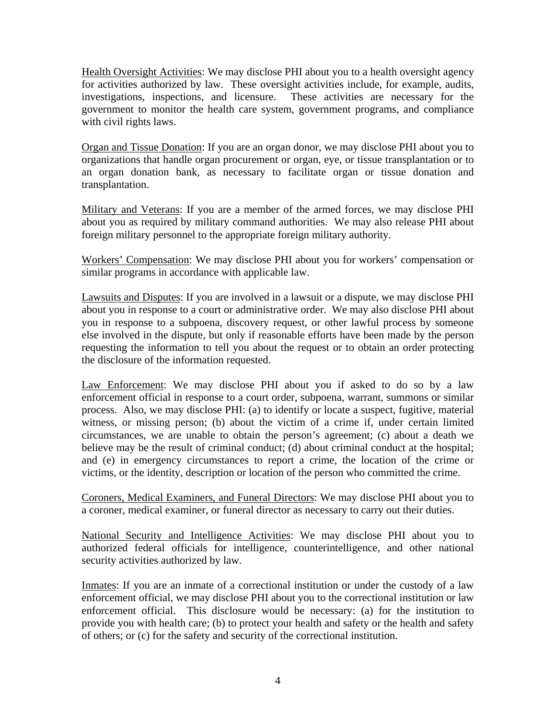Health Oversight Activities: We may disclose PHI about you to a health oversight agency for activities authorized by law. These oversight activities include, for example, audits, investigations, inspections, and licensure. These activities are necessary for the government to monitor the health care system, government programs, and compliance with civil rights laws.

Organ and Tissue Donation: If you are an organ donor, we may disclose PHI about you to organizations that handle organ procurement or organ, eye, or tissue transplantation or to an organ donation bank, as necessary to facilitate organ or tissue donation and transplantation.

Military and Veterans: If you are a member of the armed forces, we may disclose PHI about you as required by military command authorities. We may also release PHI about foreign military personnel to the appropriate foreign military authority.

Workers' Compensation: We may disclose PHI about you for workers' compensation or similar programs in accordance with applicable law.

Lawsuits and Disputes: If you are involved in a lawsuit or a dispute, we may disclose PHI about you in response to a court or administrative order. We may also disclose PHI about you in response to a subpoena, discovery request, or other lawful process by someone else involved in the dispute, but only if reasonable efforts have been made by the person requesting the information to tell you about the request or to obtain an order protecting the disclosure of the information requested.

Law Enforcement: We may disclose PHI about you if asked to do so by a law enforcement official in response to a court order, subpoena, warrant, summons or similar process. Also, we may disclose PHI: (a) to identify or locate a suspect, fugitive, material witness, or missing person; (b) about the victim of a crime if, under certain limited circumstances, we are unable to obtain the person's agreement; (c) about a death we believe may be the result of criminal conduct; (d) about criminal conduct at the hospital; and (e) in emergency circumstances to report a crime, the location of the crime or victims, or the identity, description or location of the person who committed the crime.

Coroners, Medical Examiners, and Funeral Directors: We may disclose PHI about you to a coroner, medical examiner, or funeral director as necessary to carry out their duties.

National Security and Intelligence Activities: We may disclose PHI about you to authorized federal officials for intelligence, counterintelligence, and other national security activities authorized by law.

Inmates: If you are an inmate of a correctional institution or under the custody of a law enforcement official, we may disclose PHI about you to the correctional institution or law enforcement official. This disclosure would be necessary: (a) for the institution to provide you with health care; (b) to protect your health and safety or the health and safety of others; or (c) for the safety and security of the correctional institution.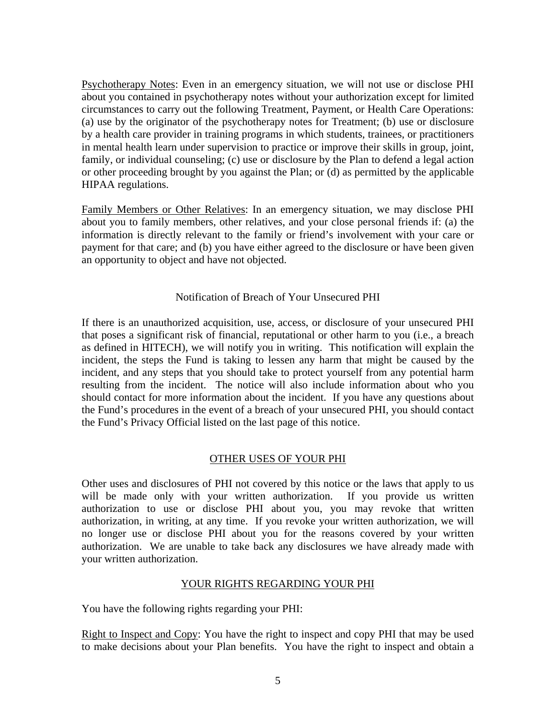Psychotherapy Notes: Even in an emergency situation, we will not use or disclose PHI about you contained in psychotherapy notes without your authorization except for limited circumstances to carry out the following Treatment, Payment, or Health Care Operations: (a) use by the originator of the psychotherapy notes for Treatment; (b) use or disclosure by a health care provider in training programs in which students, trainees, or practitioners in mental health learn under supervision to practice or improve their skills in group, joint, family, or individual counseling; (c) use or disclosure by the Plan to defend a legal action or other proceeding brought by you against the Plan; or (d) as permitted by the applicable HIPAA regulations.

Family Members or Other Relatives: In an emergency situation, we may disclose PHI about you to family members, other relatives, and your close personal friends if: (a) the information is directly relevant to the family or friend's involvement with your care or payment for that care; and (b) you have either agreed to the disclosure or have been given an opportunity to object and have not objected.

## Notification of Breach of Your Unsecured PHI

If there is an unauthorized acquisition, use, access, or disclosure of your unsecured PHI that poses a significant risk of financial, reputational or other harm to you (i.e., a breach as defined in HITECH), we will notify you in writing. This notification will explain the incident, the steps the Fund is taking to lessen any harm that might be caused by the incident, and any steps that you should take to protect yourself from any potential harm resulting from the incident. The notice will also include information about who you should contact for more information about the incident. If you have any questions about the Fund's procedures in the event of a breach of your unsecured PHI, you should contact the Fund's Privacy Official listed on the last page of this notice.

## OTHER USES OF YOUR PHI

Other uses and disclosures of PHI not covered by this notice or the laws that apply to us will be made only with your written authorization. If you provide us written authorization to use or disclose PHI about you, you may revoke that written authorization, in writing, at any time. If you revoke your written authorization, we will no longer use or disclose PHI about you for the reasons covered by your written authorization. We are unable to take back any disclosures we have already made with your written authorization.

## YOUR RIGHTS REGARDING YOUR PHI

You have the following rights regarding your PHI:

Right to Inspect and Copy: You have the right to inspect and copy PHI that may be used to make decisions about your Plan benefits. You have the right to inspect and obtain a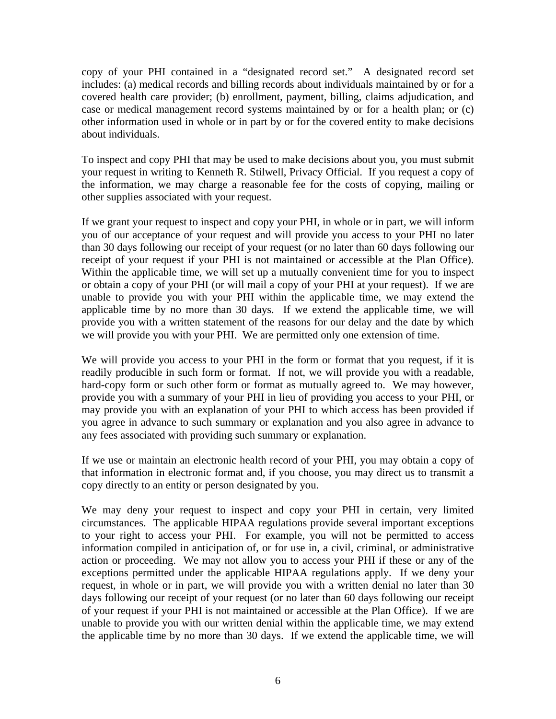copy of your PHI contained in a "designated record set." A designated record set includes: (a) medical records and billing records about individuals maintained by or for a covered health care provider; (b) enrollment, payment, billing, claims adjudication, and case or medical management record systems maintained by or for a health plan; or (c) other information used in whole or in part by or for the covered entity to make decisions about individuals.

To inspect and copy PHI that may be used to make decisions about you, you must submit your request in writing to Kenneth R. Stilwell, Privacy Official. If you request a copy of the information, we may charge a reasonable fee for the costs of copying, mailing or other supplies associated with your request.

If we grant your request to inspect and copy your PHI, in whole or in part, we will inform you of our acceptance of your request and will provide you access to your PHI no later than 30 days following our receipt of your request (or no later than 60 days following our receipt of your request if your PHI is not maintained or accessible at the Plan Office). Within the applicable time, we will set up a mutually convenient time for you to inspect or obtain a copy of your PHI (or will mail a copy of your PHI at your request). If we are unable to provide you with your PHI within the applicable time, we may extend the applicable time by no more than 30 days. If we extend the applicable time, we will provide you with a written statement of the reasons for our delay and the date by which we will provide you with your PHI. We are permitted only one extension of time.

We will provide you access to your PHI in the form or format that you request, if it is readily producible in such form or format. If not, we will provide you with a readable, hard-copy form or such other form or format as mutually agreed to. We may however, provide you with a summary of your PHI in lieu of providing you access to your PHI, or may provide you with an explanation of your PHI to which access has been provided if you agree in advance to such summary or explanation and you also agree in advance to any fees associated with providing such summary or explanation.

If we use or maintain an electronic health record of your PHI, you may obtain a copy of that information in electronic format and, if you choose, you may direct us to transmit a copy directly to an entity or person designated by you.

We may deny your request to inspect and copy your PHI in certain, very limited circumstances. The applicable HIPAA regulations provide several important exceptions to your right to access your PHI. For example, you will not be permitted to access information compiled in anticipation of, or for use in, a civil, criminal, or administrative action or proceeding. We may not allow you to access your PHI if these or any of the exceptions permitted under the applicable HIPAA regulations apply. If we deny your request, in whole or in part, we will provide you with a written denial no later than 30 days following our receipt of your request (or no later than 60 days following our receipt of your request if your PHI is not maintained or accessible at the Plan Office). If we are unable to provide you with our written denial within the applicable time, we may extend the applicable time by no more than 30 days. If we extend the applicable time, we will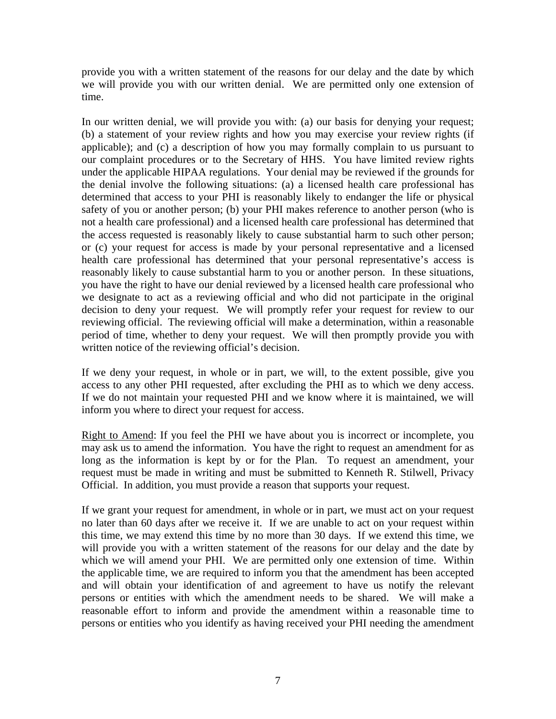provide you with a written statement of the reasons for our delay and the date by which we will provide you with our written denial. We are permitted only one extension of time.

In our written denial, we will provide you with: (a) our basis for denying your request; (b) a statement of your review rights and how you may exercise your review rights (if applicable); and (c) a description of how you may formally complain to us pursuant to our complaint procedures or to the Secretary of HHS. You have limited review rights under the applicable HIPAA regulations. Your denial may be reviewed if the grounds for the denial involve the following situations: (a) a licensed health care professional has determined that access to your PHI is reasonably likely to endanger the life or physical safety of you or another person; (b) your PHI makes reference to another person (who is not a health care professional) and a licensed health care professional has determined that the access requested is reasonably likely to cause substantial harm to such other person; or (c) your request for access is made by your personal representative and a licensed health care professional has determined that your personal representative's access is reasonably likely to cause substantial harm to you or another person. In these situations, you have the right to have our denial reviewed by a licensed health care professional who we designate to act as a reviewing official and who did not participate in the original decision to deny your request. We will promptly refer your request for review to our reviewing official. The reviewing official will make a determination, within a reasonable period of time, whether to deny your request. We will then promptly provide you with written notice of the reviewing official's decision.

If we deny your request, in whole or in part, we will, to the extent possible, give you access to any other PHI requested, after excluding the PHI as to which we deny access. If we do not maintain your requested PHI and we know where it is maintained, we will inform you where to direct your request for access.

Right to Amend: If you feel the PHI we have about you is incorrect or incomplete, you may ask us to amend the information. You have the right to request an amendment for as long as the information is kept by or for the Plan. To request an amendment, your request must be made in writing and must be submitted to Kenneth R. Stilwell, Privacy Official. In addition, you must provide a reason that supports your request.

If we grant your request for amendment, in whole or in part, we must act on your request no later than 60 days after we receive it. If we are unable to act on your request within this time, we may extend this time by no more than 30 days. If we extend this time, we will provide you with a written statement of the reasons for our delay and the date by which we will amend your PHI. We are permitted only one extension of time. Within the applicable time, we are required to inform you that the amendment has been accepted and will obtain your identification of and agreement to have us notify the relevant persons or entities with which the amendment needs to be shared. We will make a reasonable effort to inform and provide the amendment within a reasonable time to persons or entities who you identify as having received your PHI needing the amendment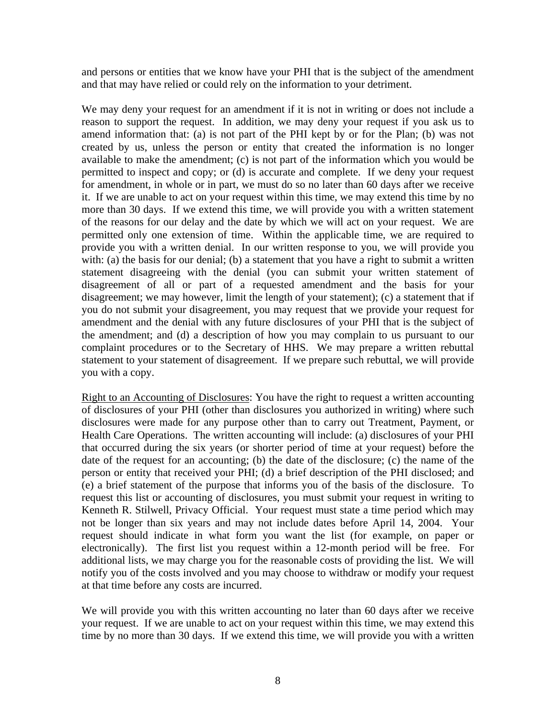and persons or entities that we know have your PHI that is the subject of the amendment and that may have relied or could rely on the information to your detriment.

We may deny your request for an amendment if it is not in writing or does not include a reason to support the request. In addition, we may deny your request if you ask us to amend information that: (a) is not part of the PHI kept by or for the Plan; (b) was not created by us, unless the person or entity that created the information is no longer available to make the amendment; (c) is not part of the information which you would be permitted to inspect and copy; or (d) is accurate and complete. If we deny your request for amendment, in whole or in part, we must do so no later than 60 days after we receive it. If we are unable to act on your request within this time, we may extend this time by no more than 30 days. If we extend this time, we will provide you with a written statement of the reasons for our delay and the date by which we will act on your request. We are permitted only one extension of time. Within the applicable time, we are required to provide you with a written denial. In our written response to you, we will provide you with: (a) the basis for our denial; (b) a statement that you have a right to submit a written statement disagreeing with the denial (you can submit your written statement of disagreement of all or part of a requested amendment and the basis for your disagreement; we may however, limit the length of your statement); (c) a statement that if you do not submit your disagreement, you may request that we provide your request for amendment and the denial with any future disclosures of your PHI that is the subject of the amendment; and (d) a description of how you may complain to us pursuant to our complaint procedures or to the Secretary of HHS. We may prepare a written rebuttal statement to your statement of disagreement. If we prepare such rebuttal, we will provide you with a copy.

Right to an Accounting of Disclosures: You have the right to request a written accounting of disclosures of your PHI (other than disclosures you authorized in writing) where such disclosures were made for any purpose other than to carry out Treatment, Payment, or Health Care Operations. The written accounting will include: (a) disclosures of your PHI that occurred during the six years (or shorter period of time at your request) before the date of the request for an accounting; (b) the date of the disclosure; (c) the name of the person or entity that received your PHI; (d) a brief description of the PHI disclosed; and (e) a brief statement of the purpose that informs you of the basis of the disclosure. To request this list or accounting of disclosures, you must submit your request in writing to Kenneth R. Stilwell, Privacy Official. Your request must state a time period which may not be longer than six years and may not include dates before April 14, 2004. Your request should indicate in what form you want the list (for example, on paper or electronically). The first list you request within a 12-month period will be free. For additional lists, we may charge you for the reasonable costs of providing the list. We will notify you of the costs involved and you may choose to withdraw or modify your request at that time before any costs are incurred.

We will provide you with this written accounting no later than 60 days after we receive your request. If we are unable to act on your request within this time, we may extend this time by no more than 30 days. If we extend this time, we will provide you with a written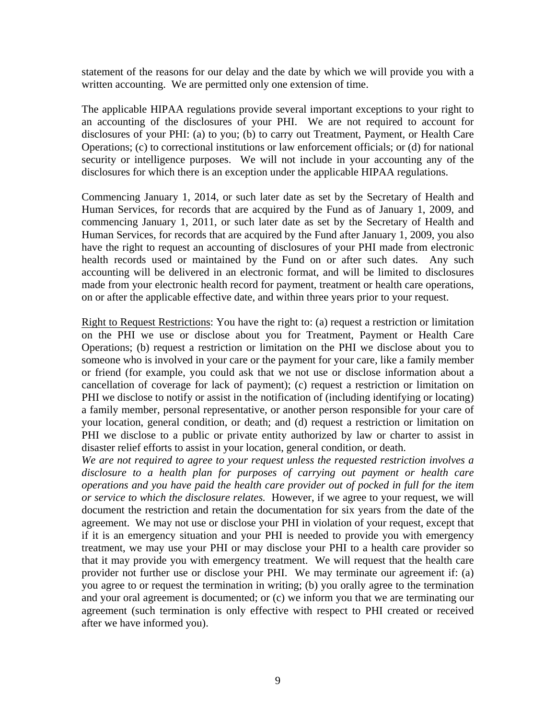statement of the reasons for our delay and the date by which we will provide you with a written accounting. We are permitted only one extension of time.

The applicable HIPAA regulations provide several important exceptions to your right to an accounting of the disclosures of your PHI. We are not required to account for disclosures of your PHI: (a) to you; (b) to carry out Treatment, Payment, or Health Care Operations; (c) to correctional institutions or law enforcement officials; or (d) for national security or intelligence purposes. We will not include in your accounting any of the disclosures for which there is an exception under the applicable HIPAA regulations.

Commencing January 1, 2014, or such later date as set by the Secretary of Health and Human Services, for records that are acquired by the Fund as of January 1, 2009, and commencing January 1, 2011, or such later date as set by the Secretary of Health and Human Services, for records that are acquired by the Fund after January 1, 2009, you also have the right to request an accounting of disclosures of your PHI made from electronic health records used or maintained by the Fund on or after such dates. Any such accounting will be delivered in an electronic format, and will be limited to disclosures made from your electronic health record for payment, treatment or health care operations, on or after the applicable effective date, and within three years prior to your request.

Right to Request Restrictions: You have the right to: (a) request a restriction or limitation on the PHI we use or disclose about you for Treatment, Payment or Health Care Operations; (b) request a restriction or limitation on the PHI we disclose about you to someone who is involved in your care or the payment for your care, like a family member or friend (for example, you could ask that we not use or disclose information about a cancellation of coverage for lack of payment); (c) request a restriction or limitation on PHI we disclose to notify or assist in the notification of (including identifying or locating) a family member, personal representative, or another person responsible for your care of your location, general condition, or death; and (d) request a restriction or limitation on PHI we disclose to a public or private entity authorized by law or charter to assist in disaster relief efforts to assist in your location, general condition, or death.

*We are not required to agree to your request unless the requested restriction involves a disclosure to a health plan for purposes of carrying out payment or health care operations and you have paid the health care provider out of pocked in full for the item or service to which the disclosure relates.* However, if we agree to your request, we will document the restriction and retain the documentation for six years from the date of the agreement. We may not use or disclose your PHI in violation of your request, except that if it is an emergency situation and your PHI is needed to provide you with emergency treatment, we may use your PHI or may disclose your PHI to a health care provider so that it may provide you with emergency treatment. We will request that the health care provider not further use or disclose your PHI. We may terminate our agreement if: (a) you agree to or request the termination in writing; (b) you orally agree to the termination and your oral agreement is documented; or (c) we inform you that we are terminating our agreement (such termination is only effective with respect to PHI created or received after we have informed you).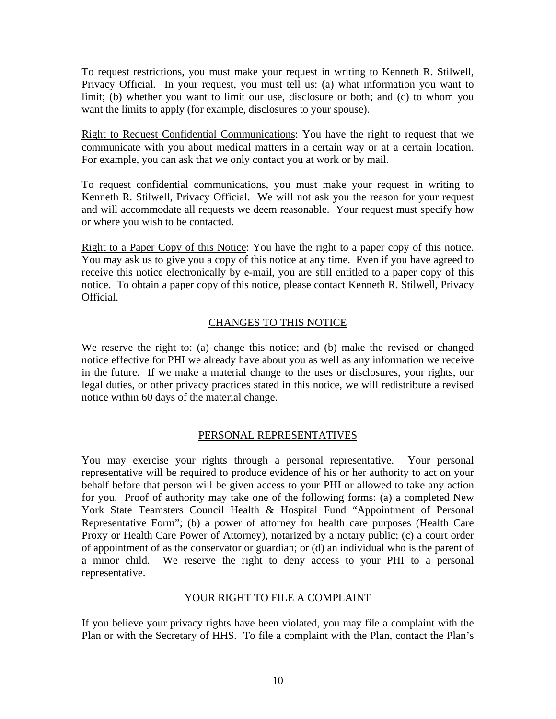To request restrictions, you must make your request in writing to Kenneth R. Stilwell, Privacy Official. In your request, you must tell us: (a) what information you want to limit; (b) whether you want to limit our use, disclosure or both; and (c) to whom you want the limits to apply (for example, disclosures to your spouse).

Right to Request Confidential Communications: You have the right to request that we communicate with you about medical matters in a certain way or at a certain location. For example, you can ask that we only contact you at work or by mail.

To request confidential communications, you must make your request in writing to Kenneth R. Stilwell, Privacy Official. We will not ask you the reason for your request and will accommodate all requests we deem reasonable. Your request must specify how or where you wish to be contacted.

Right to a Paper Copy of this Notice: You have the right to a paper copy of this notice. You may ask us to give you a copy of this notice at any time. Even if you have agreed to receive this notice electronically by e-mail, you are still entitled to a paper copy of this notice. To obtain a paper copy of this notice, please contact Kenneth R. Stilwell, Privacy Official.

## CHANGES TO THIS NOTICE

We reserve the right to: (a) change this notice; and (b) make the revised or changed notice effective for PHI we already have about you as well as any information we receive in the future. If we make a material change to the uses or disclosures, your rights, our legal duties, or other privacy practices stated in this notice, we will redistribute a revised notice within 60 days of the material change.

## PERSONAL REPRESENTATIVES

You may exercise your rights through a personal representative. Your personal representative will be required to produce evidence of his or her authority to act on your behalf before that person will be given access to your PHI or allowed to take any action for you. Proof of authority may take one of the following forms: (a) a completed New York State Teamsters Council Health & Hospital Fund "Appointment of Personal Representative Form"; (b) a power of attorney for health care purposes (Health Care Proxy or Health Care Power of Attorney), notarized by a notary public; (c) a court order of appointment of as the conservator or guardian; or (d) an individual who is the parent of a minor child. We reserve the right to deny access to your PHI to a personal representative.

#### YOUR RIGHT TO FILE A COMPLAINT

If you believe your privacy rights have been violated, you may file a complaint with the Plan or with the Secretary of HHS. To file a complaint with the Plan, contact the Plan's